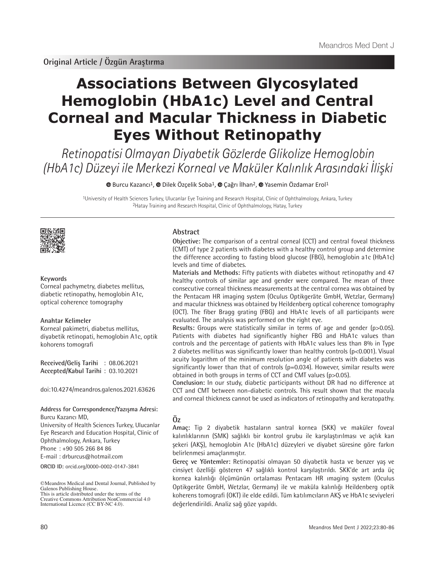# **Associations Between Glycosylated Hemoglobin (HbA1c) Level and Central Corneal and Macular Thickness in Diabetic Eyes Without Retinopathy**

Retinopatisi Olmayan Diyabetik Gözlerde Glikolize Hemoglobin (HbA1c) Düzeyi ile Merkezi Korneal ve Maküler Kalınlık Arasındaki İlişki

<sup>®</sup> [B](https://orcid.org/0000-0002-0147-3841)urcuKazancı<sup>1</sup>, <sup>®</sup> Dilek Özçelik Soba<sup>1</sup>, <sup>®</sup> Çağrı İlhan<sup>2</sup>, <sup>®</sup> Yasemin Özdamar Erol<sup>1</sup>

1University of Health Sciences Turkey, Ulucanlar Eye Training and Research Hospital, Clinic of Ophthalmology, Ankara, Turkey 2Hatay Training and Research Hospital, Clinic of Ophthalmology, Hatay, Turkey



## **Keywords**

Corneal pachymetry, diabetes mellitus, diabetic retinopathy, hemoglobin A1c, optical coherence tomography

#### **Anahtar Kelimeler**

Korneal pakimetri, diabetus mellitus, diyabetik retinopati, hemoglobin A1c, optik kohorens tomografi

**Received/Geliş Tarihi** : 08.06.2021 **Accepted/Kabul Tarihi** : 03.10.2021

doi:10.4274/meandros.galenos.2021.63626

# **Address for Correspondence/Yazışma Adresi:**

**ORCID ID:** orcid.org/0000-0002-0147-3841 Burcu Kazancı MD, University of Health Sciences Turkey, Ulucanlar Eye Research and Education Hospital, Clinic of Ophthalmology, Ankara, Turkey Phone : +90 505 266 84 86 E-mail : drburcus@hotmail.com

©Meandros Medical and Dental Journal, Published by Galenos Publishing House. This is article distributed under the terms of the

# **Abstract**

**Objective:** The comparison of a central corneal (CCT) and central foveal thickness (CMT) of type 2 patients with diabetes with a healthy control group and determine the difference according to fasting blood glucose (FBG), hemoglobin a1c (HbA1c) levels and time of diabetes.

**Materials and Methods:** Fifty patients with diabetes without retinopathy and 47 healthy controls of similar age and gender were compared. The mean of three consecutive corneal thickness measurements at the central cornea was obtained by the Pentacam HR imaging system (Oculus Optikgeräte GmbH, Wetzlar, Germany) and macular thickness was obtained by Heildenberg optical coherence tomography (OCT). The fiber Bragg grating (FBG) and HbA1c levels of all participants were evaluated. The analysis was performed on the right eye.

**Results:** Groups were statistically similar in terms of age and gender (p>0.05). Patients with diabetes had significantly higher FBG and HbA1c values than controls and the percentage of patients with HbA1c values less than 8% in Type 2 diabetes mellitus was significantly lower than healthy controls (p<0.001). Visual acuity logarithm of the minimum resolution angle of patients with diabetes was significantly lower than that of controls (p=0.034). However, similar results were obtained in both groups in terms of CCT and CMT values (p>0.05).

**Conclusion:** In our study, diabetic participants without DR had no difference at CCT and CMT between non-diabetic controls. This result shown that the macula and corneal thickness cannot be used as indicators of retinopathy and keratopathy.

# **Öz**

**Amaç:** Tip 2 diyabetik hastaların santral kornea (SKK) ve maküler foveal kalınlıklarının (SMK) sağlıklı bir kontrol grubu ile karşılaştırılması ve açlık kan şekeri (AKŞ), hemoglobin A1c (HbA1c) düzeyleri ve diyabet süresine göre farkın belirlenmesi amaçlanmıştır.

**Gereç ve Yöntemler:** Retinopatisi olmayan 50 diyabetik hasta ve benzer yaş ve cinsiyet özelliği gösteren 47 sağlıklı kontrol karşılaştırıldı. SKK'de art arda üç kornea kalınlığı ölçümünün ortalaması Pentacam HR ımaging system (Oculus Optikgeräte GmbH, Wetzlar, Germany) ile ve maküla kalınlığı Heildenberg optik koherens tomografi (OKT) ile elde edildi. Tüm katılımcıların AKŞ ve HbA1c seviyeleri değerlendirildi. Analiz sağ göze yapıldı.

Creative Commons Attribution NonCommercial 4.0 International Licence (CC BY-NC 4.0).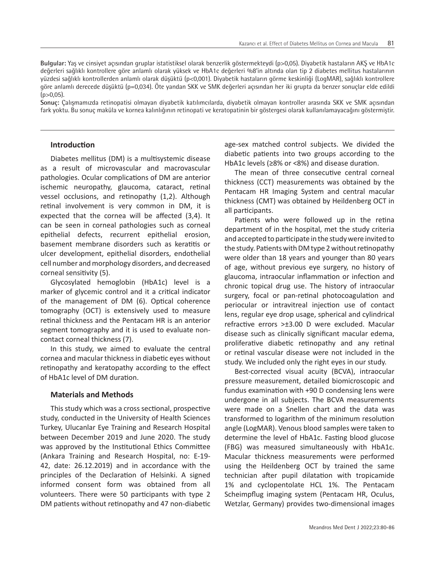**Bulgular:** Yaş ve cinsiyet açısından gruplar istatistiksel olarak benzerlik göstermekteydi (p>0,05). Diyabetik hastaların AKŞ ve HbA1c değerleri sağlıklı kontrollere göre anlamlı olarak yüksek ve HbA1c değerleri %8'in altında olan tip 2 diabetes mellitus hastalarının yüzdesi sağlıklı kontrollerden anlamlı olarak düşüktü (p<0,001). Diyabetik hastaların görme keskinliği (LogMAR), sağlıklı kontrollere göre anlamlı derecede düşüktü (p=0,034). Öte yandan SKK ve SMK değerleri açısından her iki grupta da benzer sonuçlar elde edildi  $(p>0.05)$ .

**Sonuç:** Çalışmamızda retinopatisi olmayan diyabetik katılımcılarda, diyabetik olmayan kontroller arasında SKK ve SMK açısından fark yoktu. Bu sonuç maküla ve kornea kalınlığının retinopati ve keratopatinin bir göstergesi olarak kullanılamayacağını göstermiştir.

# **Introduction**

Diabetes mellitus (DM) is a multisystemic disease as a result of microvascular and macrovascular pathologies. Ocular complications of DM are anterior ischemic neuropathy, glaucoma, cataract, retinal vessel occlusions, and retinopathy (1,2). Although retinal involvement is very common in DM, it is expected that the cornea will be affected (3,4). It can be seen in corneal pathologies such as corneal epithelial defects, recurrent epithelial erosion, basement membrane disorders such as keratitis or ulcer development, epithelial disorders, endothelial cell number and morphology disorders, and decreased corneal sensitivity (5).

Glycosylated hemoglobin (HbA1c) level is a marker of glycemic control and it a critical indicator of the management of DM (6). Optical coherence tomography (OCT) is extensively used to measure retinal thickness and the Pentacam HR is an anterior segment tomography and it is used to evaluate noncontact corneal thickness (7).

In this study, we aimed to evaluate the central cornea and macular thickness in diabetic eyes without retinopathy and keratopathy according to the effect of HbA1c level of DM duration.

#### **Materials and Methods**

This study which was a cross sectional, prospective study, conducted in the University of Health Sciences Turkey, Ulucanlar Eye Training and Research Hospital between December 2019 and June 2020. The study was approved by the Institutional Ethics Committee (Ankara Training and Research Hospital, no: E-19- 42, date: 26.12.2019) and in accordance with the principles of the Declaration of Helsinki. A signed informed consent form was obtained from all volunteers. There were 50 participants with type 2 DM patients without retinopathy and 47 non-diabetic age-sex matched control subjects. We divided the diabetic patients into two groups according to the HbA1c levels (≥8% or <8%) and disease duration.

The mean of three consecutive central corneal thickness (CCT) measurements was obtained by the Pentacam HR Imaging System and central macular thickness (CMT) was obtained by Heildenberg OCT in all participants.

Patients who were followed up in the retina department of in the hospital, met the study criteria and accepted to participate in the study were invited to the study. Patients with DM type 2 without retinopathy were older than 18 years and younger than 80 years of age, without previous eye surgery, no history of glaucoma, intraocular inflammation or infection and chronic topical drug use. The history of intraocular surgery, focal or pan-retinal photocoagulation and periocular or intravitreal injection use of contact lens, regular eye drop usage, spherical and cylindrical refractive errors >±3.00 D were excluded. Macular disease such as clinically significant macular edema, proliferative diabetic retinopathy and any retinal or retinal vascular disease were not included in the study. We included only the right eyes in our study.

Best-corrected visual acuity (BCVA), intraocular pressure measurement, detailed biomicroscopic and fundus examination with +90 D condensing lens were undergone in all subjects. The BCVA measurements were made on a Snellen chart and the data was transformed to logarithm of the minimum resolution angle (LogMAR). Venous blood samples were taken to determine the level of HbA1c. Fasting blood glucose (FBG) was measured simultaneously with HbA1c. Macular thickness measurements were performed using the Heildenberg OCT by trained the same technician after pupil dilatation with tropicamide 1% and cyclopentolate HCL 1%. The Pentacam Scheimpflug imaging system (Pentacam HR, Oculus, Wetzlar, Germany) provides two-dimensional images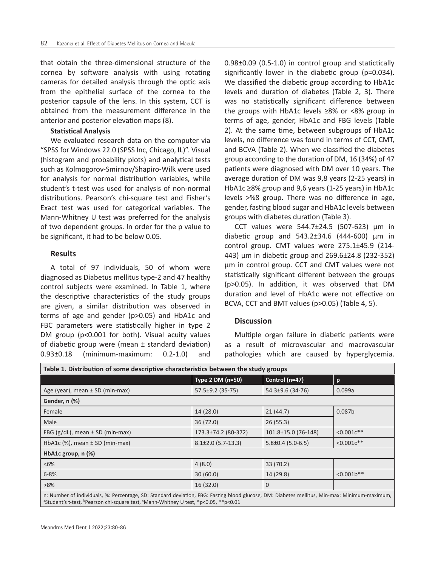that obtain the three-dimensional structure of the cornea by software analysis with using rotating cameras for detailed analysis through the optic axis from the epithelial surface of the cornea to the posterior capsule of the lens. In this system, CCT is obtained from the measurement difference in the anterior and posterior elevation maps (8).

#### **Statistical Analysis**

We evaluated research data on the computer via "SPSS for Windows 22.0 (SPSS Inc, Chicago, IL)". Visual (histogram and probability plots) and analytical tests such as Kolmogorov-Smirnov/Shapiro-Wilk were used for analysis for normal distribution variables, while student's t-test was used for analysis of non-normal distributions. Pearson's chi-square test and Fisher's Exact test was used for categorical variables. The Mann-Whitney U test was preferred for the analysis of two dependent groups. In order for the p value to be significant, it had to be below 0.05.

## **Results**

A total of 97 individuals, 50 of whom were diagnosed as Diabetus mellitus type-2 and 47 healthy control subjects were examined. In Table 1, where the descriptive characteristics of the study groups are given, a similar distribution was observed in terms of age and gender (p>0.05) and HbA1c and FBC parameters were statistically higher in type 2 DM group (p<0.001 for both). Visual acuity values of diabetic group were (mean ± standard deviation) 0.93±0.18 (minimum-maximum: 0.2-1.0) and

0.98±0.09 (0.5-1.0) in control group and statictically significantly lower in the diabetic group (p=0.034). We classified the diabetic group according to HbA1c levels and duration of diabetes (Table 2, 3). There was no statistically significant difference between the groups with HbA1c levels ≥8% or <8% group in terms of age, gender, HbA1c and FBG levels (Table 2). At the same time, between subgroups of HbA1c levels, no difference was found in terms of CCT, CMT, and BCVA (Table 2). When we classified the diabetes group according to the duration of DM, 16 (34%) of 47 patients were diagnosed with DM over 10 years. The average duration of DM was 9,8 years (2-25 years) in HbA1c ≥8% group and 9,6 years (1-25 years) in HbA1c levels >%8 group. There was no difference in age, gender, fasting blood sugar and HbA1c levels between groups with diabetes duration (Table 3).

CCT values were 544.7±24.5 (507-623) µm in diabetic group and 543.2±34.6 (444-600) µm in control group. CMT values were 275.1±45.9 (214- 443) µm in diabetic group and 269.6±24.8 (232-352) µm in control group. CCT and CMT values were not statistically significant different between the groups (p>0.05). In addition, it was observed that DM duration and level of HbA1c were not effective on BCVA, CCT and BMT values (p>0.05) (Table 4, 5).

## **Discussion**

Multiple organ failure in diabetic patients were as a result of microvascular and macrovascular pathologies which are caused by hyperglycemia.

| Table 1. Distribution of some descriptive characteristics between the study groups                                                                                                                                                                            |                        |                       |                    |  |
|---------------------------------------------------------------------------------------------------------------------------------------------------------------------------------------------------------------------------------------------------------------|------------------------|-----------------------|--------------------|--|
|                                                                                                                                                                                                                                                               | Type 2 DM (n=50)       | Control (n=47)        | $\mathbf{p}$       |  |
| Age (year), mean $\pm$ SD (min-max)                                                                                                                                                                                                                           | 57.5±9.2 (35-75)       | 54.3±9.6 (34-76)      | 0.099a             |  |
| Gender, n (%)                                                                                                                                                                                                                                                 |                        |                       |                    |  |
| Female                                                                                                                                                                                                                                                        | 14(28.0)               | 21(44.7)              | 0.087 <sub>b</sub> |  |
| Male                                                                                                                                                                                                                                                          | 36(72.0)               | 26(55.3)              |                    |  |
| FBG $(g/dL)$ , mean $\pm$ SD (min-max)                                                                                                                                                                                                                        | 173.3±74.2 (80-372)    | 101.8±15.0 (76-148)   | $< 0.001c**$       |  |
| HbA1c $(\%)$ , mean $\pm$ SD (min-max)                                                                                                                                                                                                                        | $8.1\pm2.0$ (5.7-13.3) | $5.8\pm0.4$ (5.0-6.5) | $< 0.001c**$       |  |
| HbA1c group, $n$ $%$                                                                                                                                                                                                                                          |                        |                       |                    |  |
| $&5\%$                                                                                                                                                                                                                                                        | 4(8.0)                 | 33 (70.2)             |                    |  |
| $6 - 8%$                                                                                                                                                                                                                                                      | 30(60.0)               | 14 (29.8)             | $<0.001b**$        |  |
| $>8\%$                                                                                                                                                                                                                                                        | 16(32.0)               | $\Omega$              |                    |  |
| n: Number of individuals, %: Percentage, SD: Standard deviation, FBG: Fasting blood glucose, DM: Diabetes mellitus, Min-max: Minimum-maximum,<br><sup>a</sup> Student's t-test, <sup>b</sup> Pearson chi-square test, 'Mann-Whitney U test, *p<0.05, **p<0.01 |                        |                       |                    |  |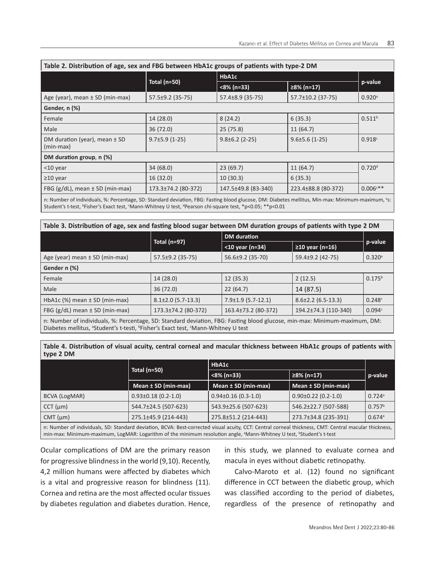| Table 2. Distribution of age, sex and FBG between HbA1c groups of patients with type-2 DM |                     |                      |                      |                      |  |  |
|-------------------------------------------------------------------------------------------|---------------------|----------------------|----------------------|----------------------|--|--|
|                                                                                           | Total (n=50)        | HbA1c                |                      |                      |  |  |
|                                                                                           |                     | $< 8\% (n=33)$       | ≥8% (n=17)           | p-value              |  |  |
| Age (year), mean $\pm$ SD (min-max)                                                       | 57.5±9.2 (35-75)    | 57.4±8.9 (35-75)     | 57.7±10.2 (37-75)    | $0.920$ <sup>a</sup> |  |  |
| Gender, n (%)                                                                             |                     |                      |                      |                      |  |  |
| Female                                                                                    | 14(28.0)            | 8(24.2)              | 6(35.3)              | $0.511^{b}$          |  |  |
| Male                                                                                      | 36(72.0)            | 25(75.8)             | 11(64.7)             |                      |  |  |
| DM duration (year), mean $\pm$ SD<br>(min-max)                                            | $9.7\pm5.9(1-25)$   | $9.8 \pm 6.2$ (2-25) | $9.6 \pm 5.6$ (1-25) | 0.918c               |  |  |
| DM duration group, n (%)                                                                  |                     |                      |                      |                      |  |  |
| $<$ 10 year                                                                               | 34 (68.0)           | 23 (69.7)            | 11(64.7)             | $0.720$ <sup>d</sup> |  |  |
| $\geq$ 10 year                                                                            | 16(32.0)            | 10(30.3)             | 6(35.3)              |                      |  |  |
| FBG $(g/dL)$ , mean $\pm$ SD (min-max)                                                    | 173.3±74.2 (80-372) | 147.5±49.8 (83-340)  | 223.4±88.8 (80-372)  | $0.006^{c**}$        |  |  |
|                                                                                           |                     |                      |                      |                      |  |  |

n: Number of individuals, %: Percentage, SD: Standard deviation, FBG: Fasting blood glucose, DM: Diabetes mellitus, Min-max: Minimum-maximum, <sup>a</sup> s: Student's t-test, <code>bFisher's Exact</code> test, <code>'Mann-Whitney U</code> test, <code>'Pearson</code> chi-square test, \*p<0.05; \*\*p<0.01

| Table 3. Distribution of age, sex and fasting blood sugar between DM duration groups of patients with type 2 DM |                        |                          |                          |                      |  |
|-----------------------------------------------------------------------------------------------------------------|------------------------|--------------------------|--------------------------|----------------------|--|
|                                                                                                                 | Total $(n=97)$         | <b>DM</b> duration       |                          |                      |  |
|                                                                                                                 |                        | $<$ 10 year (n=34)       | ≥10 year (n=16)          | p-value              |  |
| Age (year) mean $\pm$ SD (min-max)                                                                              | 57.5±9.2 (35-75)       | 56.6±9.2 (35-70)         | 59.4±9.2 (42-75)         | $0.320$ <sup>a</sup> |  |
| Gender n (%)                                                                                                    |                        |                          |                          |                      |  |
| Female                                                                                                          | 14(28.0)               | 12(35.3)                 | 2(12.5)                  | $0.175^{b}$          |  |
| Male                                                                                                            | 36(72.0)               | 22(64.7)                 | 14 (87.5)                |                      |  |
| HbA1c $(\%)$ mean $\pm$ SD (min-max)                                                                            | $8.1\pm2.0$ (5.7-13.3) | $7.9 \pm 1.9$ (5.7-12.1) | $8.6 \pm 2.2$ (6.5-13.3) | 0.248c               |  |
| FBG $(g/dL)$ mean $\pm$ SD (min-max)                                                                            | 173.3±74.2 (80-372)    | 163.4±73.2 (80-372)      | 194.2±74.3 (110-340)     | 0.094c               |  |

n: Number of individuals, %: Percentage, SD: Standard deviation, FBG: Fasting blood glucose, min-max: Minimum-maximum, DM: Diabetes mellitus, <sup>a</sup>Student's t-testi, <sup>b</sup>Fisher's Exact test, <sup>c</sup>Mann-Whitney U test

**Table 4. Distribution of visual acuity, central corneal and macular thickness between HbA1c groups of patients with type 2 DM**

|                  | Total (n=50)              | HbA1c                   |                         |                      |
|------------------|---------------------------|-------------------------|-------------------------|----------------------|
|                  |                           | $< 8\%$ (n=33)          | ≥8% (n=17)              | p-value              |
|                  | Mean $\pm$ SD (min-max)   | Mean $\pm$ SD (min-max) | Mean ± SD (min-max)     |                      |
| BCVA (LogMAR)    | $0.93 \pm 0.18$ (0.2-1.0) | $0.94\pm0.16$ (0.3-1.0) | $0.90\pm0.22$ (0.2-1.0) | $0.724$ <sup>a</sup> |
| $CCT$ ( $\mu$ m) | 544.7±24.5 (507-623)      | 543.9±25.6 (507-623)    | 546.2±22.7 (507-588)    | $0.757^b$            |
| $CMT$ ( $\mu$ m) | 275.1±45.9 (214-443)      | 275.8±51.2 (214-443)    | 273.7±34.8 (235-391)    | $0.674$ <sup>a</sup> |
|                  |                           |                         |                         |                      |

n: Number of individuals, SD: Standard deviation, BCVA: Best-corrected visual acuity, CCT: Central corneal thickness, CMT: Central macular thickness, min-max: Minimum-maximum, LogMAR: Logarithm of the minimum resolution angle, <sup>a</sup>Mann-Whitney U test, <sup>b</sup>Student's t-test

Ocular complications of DM are the primary reason for progressive blindness in the world (9,10). Recently, 4,2 million humans were affected by diabetes which is a vital and progressive reason for blindness (11). Cornea and retina are the most affected ocular tissues by diabetes regulation and diabetes duration. Hence, in this study, we planned to evaluate cornea and macula in eyes without diabetic retinopathy.

Calvo-Maroto et al. (12) found no significant difference in CCT between the diabetic group, which was classified according to the period of diabetes, regardless of the presence of retinopathy and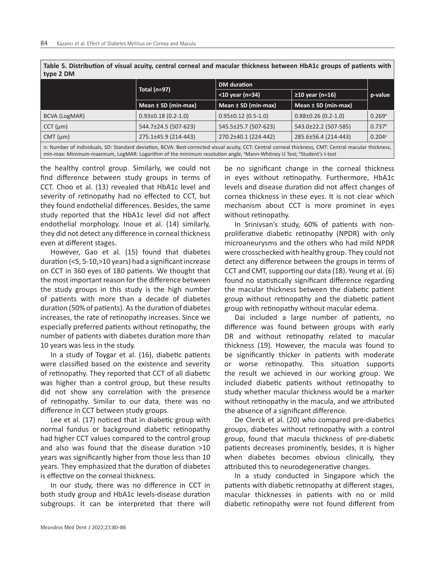| Table 5. Distribution of visual acuity, central corneal and macular thickiless between moAIC groups of patients with<br>type 2 DM                                                                                                                                                                     |                         |                           |                           |                      |
|-------------------------------------------------------------------------------------------------------------------------------------------------------------------------------------------------------------------------------------------------------------------------------------------------------|-------------------------|---------------------------|---------------------------|----------------------|
|                                                                                                                                                                                                                                                                                                       | Total $(n=97)$          | <b>DM</b> duration        |                           |                      |
|                                                                                                                                                                                                                                                                                                       |                         | <10 year (n=34)           | ≥10 year (n=16)           | p-value              |
|                                                                                                                                                                                                                                                                                                       | Mean $\pm$ SD (min-max) | Mean $\pm$ SD (min-max)   | Mean $\pm$ SD (min-max)   |                      |
| BCVA (LogMAR)                                                                                                                                                                                                                                                                                         | $0.93\pm0.18$ (0.2-1.0) | $0.95 \pm 0.12$ (0.5-1.0) | $0.88 \pm 0.26$ (0.2-1.0) | $0.269$ <sup>a</sup> |
| $CCT$ ( $\mu$ m)                                                                                                                                                                                                                                                                                      | 544.7±24.5 (507-623)    | 545.5±25.7 (507-623)      | 543.0±22.2 (507-585)      | 0.737 <sup>b</sup>   |
| $CMT$ ( $\mu$ m)                                                                                                                                                                                                                                                                                      | 275.1±45.9 (214-443)    | 270.2±40.1 (224-442)      | 285.6±56.4 (214-443)      | $0.204$ <sup>a</sup> |
| n: Number of individuals, SD: Standard deviation, BCVA: Best-corrected visual acuity, CCT: Central corneal thickness, CMT: Central macular thickness,<br>min-max: Minimum-maximum, LogMAR: Logarithm of the minimum resolution angle, <sup>a</sup> Mann-Whitney U Test; <sup>b</sup> Student's t-test |                         |                           |                           |                      |

**Table 5. Distribution of visual acuity, central corneal and macular thickness between HbA1c groups of patients with** 

the healthy control group. Similarly, we could not find difference between study groups in terms of CCT. Choo et al. (13) revealed that HbA1c level and severity of retinopathy had no effected to CCT, but they found endothelial differences. Besides, the same study reported that the HbA1c level did not affect endothelial morphology. Inoue et al. (14) similarly, they did not detect any difference in corneal thickness even at different stages.

However, Gao et al. (15) found that diabetes duration (<5, 5-10,>10 years) had a significant increase on CCT in 360 eyes of 180 patients. We thought that the most important reason for the difference between the study groups in this study is the high number of patients with more than a decade of diabetes duration (50% of patients). As the duration of diabetes increases, the rate of retinopathy increases. Since we especially preferred patients without retinopathy, the number of patients with diabetes duration more than 10 years was less in the study.

In a study of Toygar et al. (16), diabetic patients were classified based on the existence and severity of retinopathy. They reported that CCT of all diabetic was higher than a control group, but these results did not show any correlation with the presence of retinopathy. Similar to our data, there was no difference in CCT between study groups.

Lee et al. (17) noticed that in diabetic group with normal fundus or background diabetic retinopathy had higher CCT values compared to the control group and also was found that the disease duration >10 years was significantly higher from those less than 10 years. They emphasized that the duration of diabetes is effective on the corneal thickness.

In our study, there was no difference in CCT in both study group and HbA1c levels-disease duration subgroups. It can be interpreted that there will

be no significant change in the corneal thickness in eyes without retinopathy. Furthermore, HbA1c levels and disease duration did not affect changes of cornea thickness in these eyes. It is not clear which mechanism about CCT is more prominet in eyes without retinopathy.

In Srinivsan's study, 60% of patients with nonproliferative diabetic retinopathy (NPDR) with only microaneurysms and the others who had mild NPDR were crosschecked with healthy group. They could not detect any difference between the groups in terms of CCT and CMT, supporting our data (18). Yeung et al. (6) found no statistically significant difference regarding the macular thickness between the diabetic patient group without retinopathy and the diabetic patient group with retinopathy without macular edema.

Dai included a large number of patients, no difference was found between groups with early DR and without retinopathy related to macular thickness (19). However, the macula was found to be significantly thicker in patients with moderate or worse retinopathy. This situation supports the result we achieved in our working group. We included diabetic patients without retinopathy to study whether macular thickness would be a marker without retinopathy in the macula, and we attributed the absence of a significant difference.

De Clerck et al. (20) who compared pre-diabetics groups, diabetes without retinopathy with a control group, found that macula thickness of pre-diabetic patients decreases prominently, besides, it is higher when diabetes becomes obvious clinically, they attributed this to neurodegenerative changes.

In a study conducted in Singapore which the patients with diabetic retinopathy at different stages, macular thicknesses in patients with no or mild diabetic retinopathy were not found different from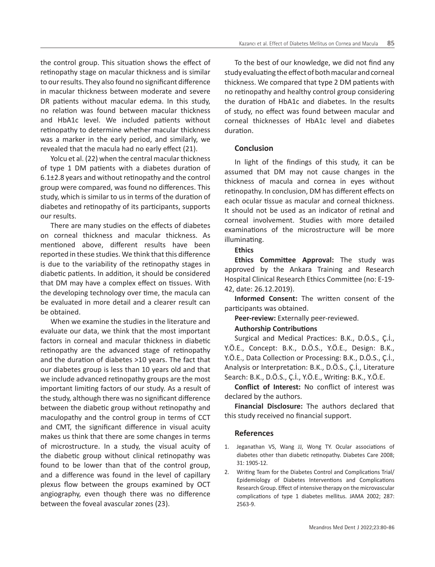the control group. This situation shows the effect of retinopathy stage on macular thickness and is similar to our results. They also found no significant difference in macular thickness between moderate and severe DR patients without macular edema. In this study, no relation was found between macular thickness and HbA1c level. We included patients without retinopathy to determine whether macular thickness was a marker in the early period, and similarly, we revealed that the macula had no early effect (21).

Yolcu et al. (22) when the central macular thickness of type 1 DM patients with a diabetes duration of  $6.1\pm2.8$  years and without retinopathy and the control group were compared, was found no differences. This study, which is similar to us in terms of the duration of diabetes and retinopathy of its participants, supports our results.

There are many studies on the effects of diabetes on corneal thickness and macular thickness. As mentioned above, different results have been reported in these studies. We think that this difference is due to the variability of the retinopathy stages in diabetic patients. In addition, it should be considered that DM may have a complex effect on tissues. With the developing technology over time, the macula can be evaluated in more detail and a clearer result can be obtained.

When we examine the studies in the literature and evaluate our data, we think that the most important factors in corneal and macular thickness in diabetic retinopathy are the advanced stage of retinopathy and the duration of diabetes >10 years. The fact that our diabetes group is less than 10 years old and that we include advanced retinopathy groups are the most important limiting factors of our study. As a result of the study, although there was no significant difference between the diabetic group without retinopathy and maculopathy and the control group in terms of CCT and CMT, the significant difference in visual acuity makes us think that there are some changes in terms of microstructure. In a study, the visual acuity of the diabetic group without clinical retinopathy was found to be lower than that of the control group, and a difference was found in the level of capillary plexus flow between the groups examined by OCT angiography, even though there was no difference between the foveal avascular zones (23).

To the best of our knowledge, we did not find any study evaluating the effect of both macular and corneal thickness. We compared that type 2 DM patients with no retinopathy and healthy control group considering the duration of HbA1c and diabetes. In the results of study, no effect was found between macular and corneal thicknesses of HbA1c level and diabetes duration.

# **Conclusion**

In light of the findings of this study, it can be assumed that DM may not cause changes in the thickness of macula and cornea in eyes without retinopathy. In conclusion, DM has different effects on each ocular tissue as macular and corneal thickness. It should not be used as an indicator of retinal and corneal involvement. Studies with more detailed examinations of the microstructure will be more illuminating.

# **Ethics**

**Ethics Committee Approval:** The study was approved by the Ankara Training and Research Hospital Clinical Research Ethics Committee (no: E-19- 42, date: 26.12.2019).

**Informed Consent:** The written consent of the participants was obtained.

**Peer-review:** Externally peer-reviewed.

## **Authorship Contributions**

Surgical and Medical Practices: B.K., D.Ö.S., Ç.İ., Y.Ö.E., Concept: B.K., D.Ö.S., Y.Ö.E., Design: B.K., Y.Ö.E., Data Collection or Processing: B.K., D.Ö.S., Ç.İ., Analysis or Interpretation: B.K., D.Ö.S., Ç.İ., Literature Search: B.K., D.Ö.S., Ç.İ., Y.Ö.E., Writing: B.K., Y.Ö.E.

**Conflict of Interest:** No conflict of interest was declared by the authors.

**Financial Disclosure:** The authors declared that this study received no financial support.

## **References**

- 1. Jeganathan VS, Wang JJ, Wong TY. Ocular associations of diabetes other than diabetic retinopathy. Diabetes Care 2008; 31: 1905-12.
- 2. Writing Team for the Diabetes Control and Complications Trial/ Epidemiology of Diabetes Interventions and Complications Research Group. Effect of intensive therapy on the microvascular complications of type 1 diabetes mellitus. JAMA 2002; 287: 2563-9.